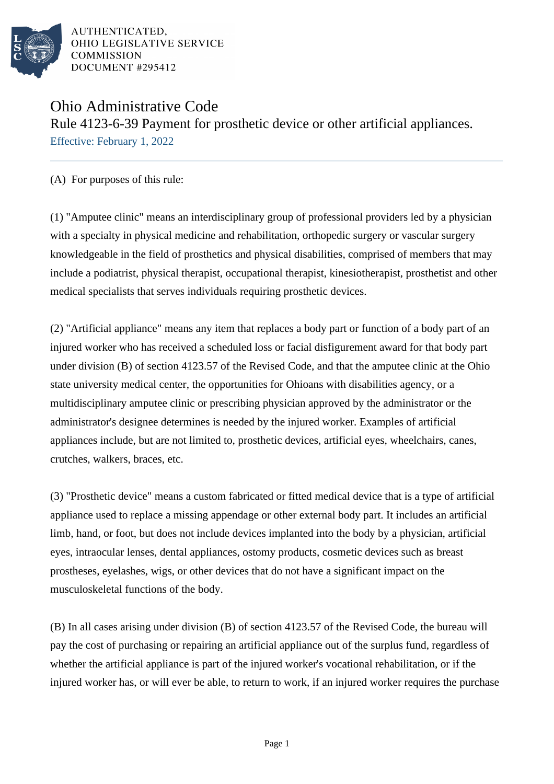

AUTHENTICATED. OHIO LEGISLATIVE SERVICE **COMMISSION** DOCUMENT #295412

## Ohio Administrative Code Rule 4123-6-39 Payment for prosthetic device or other artificial appliances. Effective: February 1, 2022

(A) For purposes of this rule:

(1) "Amputee clinic" means an interdisciplinary group of professional providers led by a physician with a specialty in physical medicine and rehabilitation, orthopedic surgery or vascular surgery knowledgeable in the field of prosthetics and physical disabilities, comprised of members that may include a podiatrist, physical therapist, occupational therapist, kinesiotherapist, prosthetist and other medical specialists that serves individuals requiring prosthetic devices.

(2) "Artificial appliance" means any item that replaces a body part or function of a body part of an injured worker who has received a scheduled loss or facial disfigurement award for that body part under division (B) of section 4123.57 of the Revised Code, and that the amputee clinic at the Ohio state university medical center, the opportunities for Ohioans with disabilities agency, or a multidisciplinary amputee clinic or prescribing physician approved by the administrator or the administrator's designee determines is needed by the injured worker. Examples of artificial appliances include, but are not limited to, prosthetic devices, artificial eyes, wheelchairs, canes, crutches, walkers, braces, etc.

(3) "Prosthetic device" means a custom fabricated or fitted medical device that is a type of artificial appliance used to replace a missing appendage or other external body part. It includes an artificial limb, hand, or foot, but does not include devices implanted into the body by a physician, artificial eyes, intraocular lenses, dental appliances, ostomy products, cosmetic devices such as breast prostheses, eyelashes, wigs, or other devices that do not have a significant impact on the musculoskeletal functions of the body.

(B) In all cases arising under division (B) of section 4123.57 of the Revised Code, the bureau will pay the cost of purchasing or repairing an artificial appliance out of the surplus fund, regardless of whether the artificial appliance is part of the injured worker's vocational rehabilitation, or if the injured worker has, or will ever be able, to return to work, if an injured worker requires the purchase